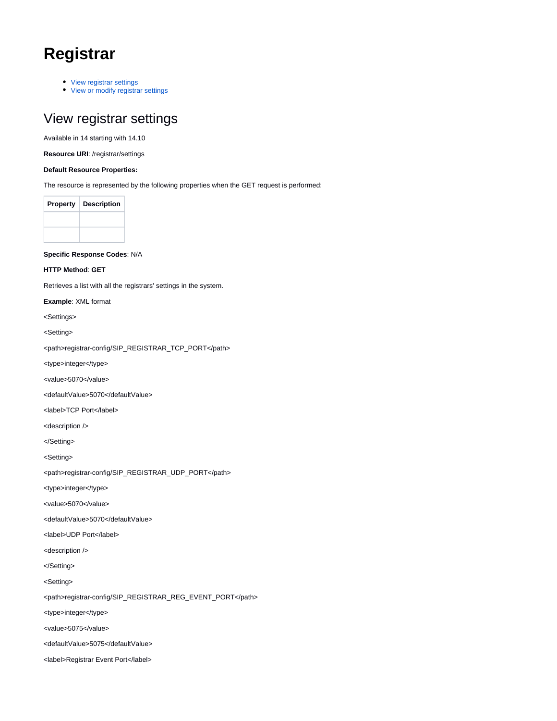# **Registrar**

- [View registrar settings](#page-0-0)
- [View or modify registrar settings](#page-2-0)

### <span id="page-0-0"></span>View registrar settings

Available in 14 starting with 14.10

**Resource URI**: /registrar/settings

#### **Default Resource Properties:**

The resource is represented by the following properties when the GET request is performed:

| <b>Property</b> | <b>Description</b> |
|-----------------|--------------------|
|                 |                    |
|                 |                    |

**Specific Response Codes**: N/A

**HTTP Method**: **GET**

Retrieves a list with all the registrars' settings in the system.

**Example**: XML format

<Settings>

<Setting>

<path>registrar-config/SIP\_REGISTRAR\_TCP\_PORT</path>

<type>integer</type>

<value>5070</value>

<defaultValue>5070</defaultValue>

<label>TCP Port</label>

<description />

</Setting>

<Setting>

<path>registrar-config/SIP\_REGISTRAR\_UDP\_PORT</path>

<type>integer</type>

<value>5070</value>

<defaultValue>5070</defaultValue>

<label>UDP Port</label>

<description />

</Setting>

<Setting>

<path>registrar-config/SIP\_REGISTRAR\_REG\_EVENT\_PORT</path>

<type>integer</type>

<value>5075</value>

<defaultValue>5075</defaultValue>

<label>Registrar Event Port</label>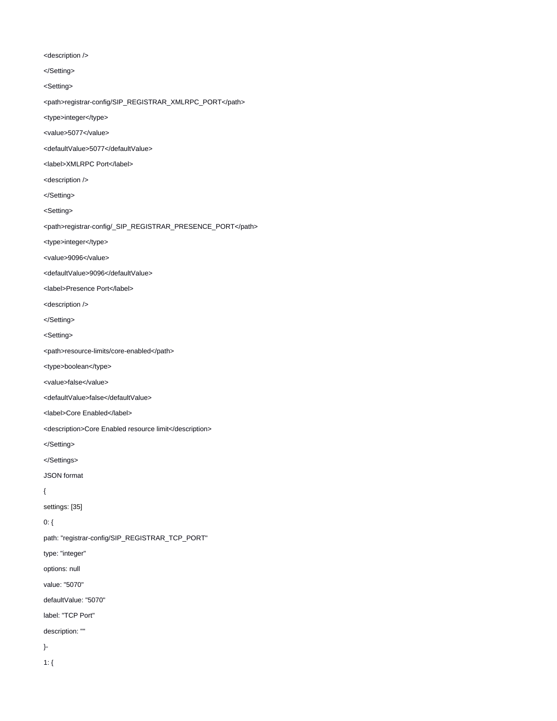<description />

</Setting>

<Setting>

<path>registrar-config/SIP\_REGISTRAR\_XMLRPC\_PORT</path>

<type>integer</type>

<value>5077</value>

<defaultValue>5077</defaultValue>

<label>XMLRPC Port</label>

<description />

</Setting>

<Setting>

<path>registrar-config/\_SIP\_REGISTRAR\_PRESENCE\_PORT</path>

<type>integer</type>

<value>9096</value>

<defaultValue>9096</defaultValue>

<label>Presence Port</label>

<description />

</Setting>

<Setting>

<path>resource-limits/core-enabled</path>

<type>boolean</type>

<value>false</value>

<defaultValue>false</defaultValue>

<label>Core Enabled</label>

<description>Core Enabled resource limit</description>

</Setting>

</Settings>

JSON format

{

settings: [35]

0: {

path: "registrar-config/SIP\_REGISTRAR\_TCP\_PORT"

type: "integer"

options: null

value: "5070"

defaultValue: "5070"

label: "TCP Port"

description: ""

}-

1: {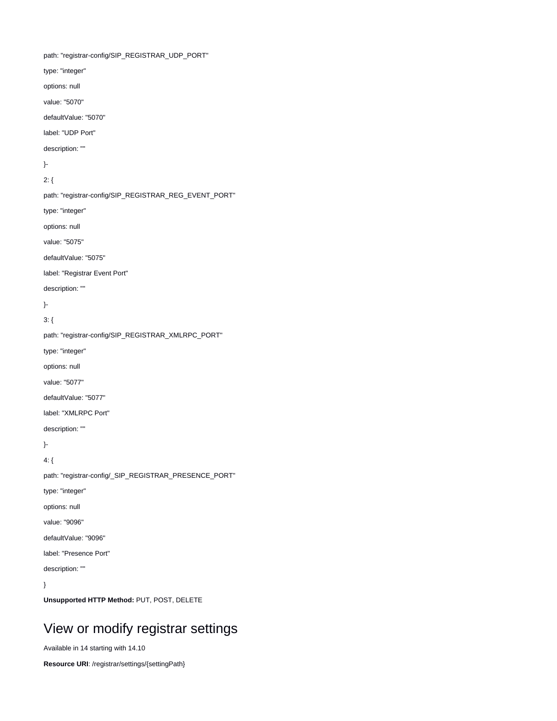path: "registrar-config/SIP\_REGISTRAR\_UDP\_PORT" type: "integer" options: null value: "5070" defaultValue: "5070" label: "UDP Port" description: "" }- 2: { path: "registrar-config/SIP\_REGISTRAR\_REG\_EVENT\_PORT" type: "integer" options: null value: "5075" defaultValue: "5075" label: "Registrar Event Port" description: "" }- 3: { path: "registrar-config/SIP\_REGISTRAR\_XMLRPC\_PORT" type: "integer" options: null value: "5077" defaultValue: "5077" label: "XMLRPC Port" description: "" }- 4: { path: "registrar-config/\_SIP\_REGISTRAR\_PRESENCE\_PORT" type: "integer" options: null value: "9096" defaultValue: "9096" label: "Presence Port" description: "" }

**Unsupported HTTP Method:** PUT, POST, DELETE

## <span id="page-2-0"></span>View or modify registrar settings

Available in 14 starting with 14.10

**Resource URI**: /registrar/settings/{settingPath}